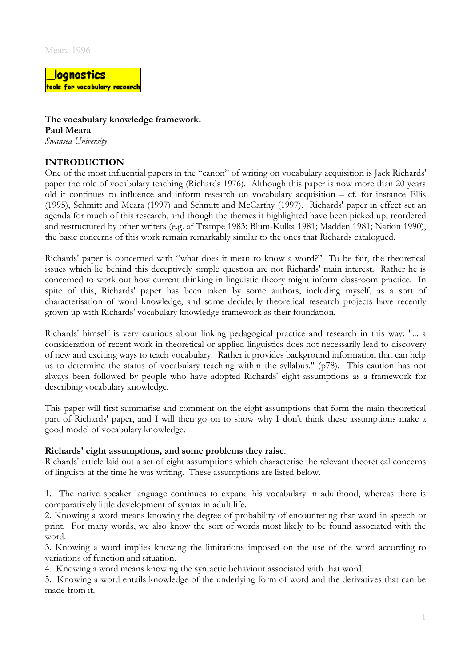lognostics tools for vocabulary research

**The vocabulary knowledge framework. Paul Meara** *Swansea University*

# **INTRODUCTION**

One of the most influential papers in the "canon" of writing on vocabulary acquisition is Jack Richards' paper the role of vocabulary teaching (Richards 1976). Although this paper is now more than 20 years old it continues to influence and inform research on vocabulary acquisition – cf. for instance Ellis (1995), Schmitt and Meara (1997) and Schmitt and McCarthy (1997). Richards' paper in effect set an agenda for much of this research, and though the themes it highlighted have been picked up, reordered and restructured by other writers (e.g. af Trampe 1983; Blum-Kulka 1981; Madden 1981; Nation 1990), the basic concerns of this work remain remarkably similar to the ones that Richards catalogued.

Richards' paper is concerned with "what does it mean to know a word?" To be fair, the theoretical issues which lie behind this deceptively simple question are not Richards' main interest. Rather he is concerned to work out how current thinking in linguistic theory might inform classroom practice. In spite of this, Richards' paper has been taken by some authors, including myself, as a sort of characterisation of word knowledge, and some decidedly theoretical research projects have recently grown up with Richards' vocabulary knowledge framework as their foundation.

Richards' himself is very cautious about linking pedagogical practice and research in this way: "... a consideration of recent work in theoretical or applied linguistics does not necessarily lead to discovery of new and exciting ways to teach vocabulary. Rather it provides background information that can help us to determine the status of vocabulary teaching within the syllabus." (p78). This caution has not always been followed by people who have adopted Richards' eight assumptions as a framework for describing vocabulary knowledge.

This paper will first summarise and comment on the eight assumptions that form the main theoretical part of Richards' paper, and I will then go on to show why I don't think these assumptions make a good model of vocabulary knowledge.

## **Richards' eight assumptions, and some problems they raise**.

Richards' article laid out a set of eight assumptions which characterise the relevant theoretical concerns of linguists at the time he was writing. These assumptions are listed below.

1. The native speaker language continues to expand his vocabulary in adulthood, whereas there is comparatively little development of syntax in adult life.

2. Knowing a word means knowing the degree of probability of encountering that word in speech or print. For many words, we also know the sort of words most likely to be found associated with the word.

3. Knowing a word implies knowing the limitations imposed on the use of the word according to variations of function and situation.

4. Knowing a word means knowing the syntactic behaviour associated with that word.

5. Knowing a word entails knowledge of the underlying form of word and the derivatives that can be made from it.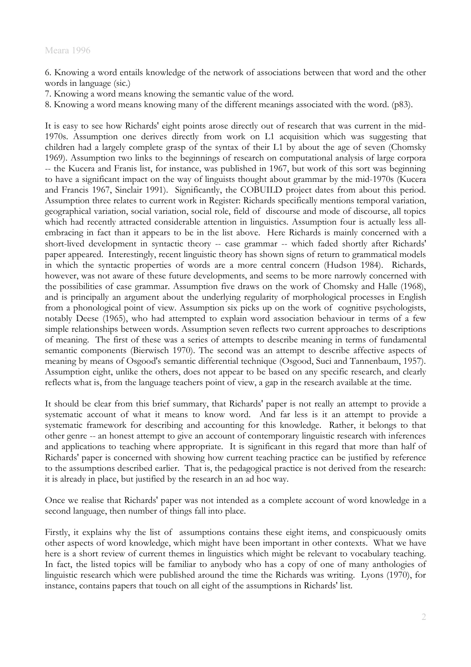6. Knowing a word entails knowledge of the network of associations between that word and the other words in language (sic.)

- 7. Knowing a word means knowing the semantic value of the word.
- 8. Knowing a word means knowing many of the different meanings associated with the word. (p83).

It is easy to see how Richards' eight points arose directly out of research that was current in the mid-1970s. Assumption one derives directly from work on L1 acquisition which was suggesting that children had a largely complete grasp of the syntax of their L1 by about the age of seven (Chomsky 1969). Assumption two links to the beginnings of research on computational analysis of large corpora -- the Kucera and Franis list, for instance, was published in 1967, but work of this sort was beginning to have a significant impact on the way of linguists thought about grammar by the mid-1970s (Kucera and Francis 1967, Sinclair 1991). Significantly, the COBUILD project dates from about this period. Assumption three relates to current work in Register: Richards specifically mentions temporal variation, geographical variation, social variation, social role, field of discourse and mode of discourse, all topics which had recently attracted considerable attention in linguistics. Assumption four is actually less allembracing in fact than it appears to be in the list above. Here Richards is mainly concerned with a short-lived development in syntactic theory -- case grammar -- which faded shortly after Richards' paper appeared. Interestingly, recent linguistic theory has shown signs of return to grammatical models in which the syntactic properties of words are a more central concern (Hudson 1984). Richards, however, was not aware of these future developments, and seems to be more narrowly concerned with the possibilities of case grammar. Assumption five draws on the work of Chomsky and Halle (1968), and is principally an argument about the underlying regularity of morphological processes in English from a phonological point of view. Assumption six picks up on the work of cognitive psychologists, notably Deese (1965), who had attempted to explain word association behaviour in terms of a few simple relationships between words. Assumption seven reflects two current approaches to descriptions of meaning. The first of these was a series of attempts to describe meaning in terms of fundamental semantic components (Bierwisch 1970). The second was an attempt to describe affective aspects of meaning by means of Osgood's semantic differential technique (Osgood, Suci and Tannenbaum, 1957). Assumption eight, unlike the others, does not appear to be based on any specific research, and clearly reflects what is, from the language teachers point of view, a gap in the research available at the time.

It should be clear from this brief summary, that Richards' paper is not really an attempt to provide a systematic account of what it means to know word. And far less is it an attempt to provide a systematic framework for describing and accounting for this knowledge. Rather, it belongs to that other genre -- an honest attempt to give an account of contemporary linguistic research with inferences and applications to teaching where appropriate. It is significant in this regard that more than half of Richards' paper is concerned with showing how current teaching practice can be justified by reference to the assumptions described earlier. That is, the pedagogical practice is not derived from the research: it is already in place, but justified by the research in an ad hoc way.

Once we realise that Richards' paper was not intended as a complete account of word knowledge in a second language, then number of things fall into place.

Firstly, it explains why the list of assumptions contains these eight items, and conspicuously omits other aspects of word knowledge, which might have been important in other contexts. What we have here is a short review of current themes in linguistics which might be relevant to vocabulary teaching. In fact, the listed topics will be familiar to anybody who has a copy of one of many anthologies of linguistic research which were published around the time the Richards was writing. Lyons (1970), for instance, contains papers that touch on all eight of the assumptions in Richards' list.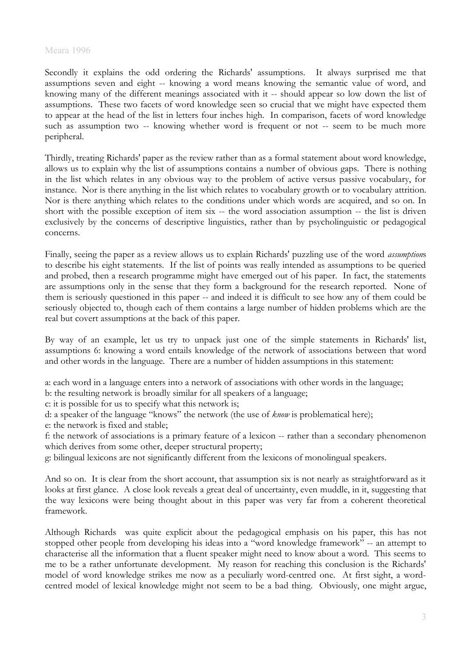Secondly it explains the odd ordering the Richards' assumptions. It always surprised me that assumptions seven and eight -- knowing a word means knowing the semantic value of word, and knowing many of the different meanings associated with it -- should appear so low down the list of assumptions. These two facets of word knowledge seen so crucial that we might have expected them to appear at the head of the list in letters four inches high. In comparison, facets of word knowledge such as assumption two -- knowing whether word is frequent or not -- seem to be much more peripheral.

Thirdly, treating Richards' paper as the review rather than as a formal statement about word knowledge, allows us to explain why the list of assumptions contains a number of obvious gaps. There is nothing in the list which relates in any obvious way to the problem of active versus passive vocabulary, for instance. Nor is there anything in the list which relates to vocabulary growth or to vocabulary attrition. Nor is there anything which relates to the conditions under which words are acquired, and so on. In short with the possible exception of item six -- the word association assumption -- the list is driven exclusively by the concerns of descriptive linguistics, rather than by psycholinguistic or pedagogical concerns.

Finally, seeing the paper as a review allows us to explain Richards' puzzling use of the word *assumption*s to describe his eight statements. If the list of points was really intended as assumptions to be queried and probed, then a research programme might have emerged out of his paper. In fact, the statements are assumptions only in the sense that they form a background for the research reported. None of them is seriously questioned in this paper -- and indeed it is difficult to see how any of them could be seriously objected to, though each of them contains a large number of hidden problems which are the real but covert assumptions at the back of this paper.

By way of an example, let us try to unpack just one of the simple statements in Richards' list, assumptions 6: knowing a word entails knowledge of the network of associations between that word and other words in the language. There are a number of hidden assumptions in this statement:

a: each word in a language enters into a network of associations with other words in the language; b: the resulting network is broadly similar for all speakers of a language;

c: it is possible for us to specify what this network is;

d: a speaker of the language "knows" the network (the use of *know* is problematical here);

e: the network is fixed and stable;

f: the network of associations is a primary feature of a lexicon -- rather than a secondary phenomenon which derives from some other, deeper structural property;

g: bilingual lexicons are not significantly different from the lexicons of monolingual speakers.

And so on. It is clear from the short account, that assumption six is not nearly as straightforward as it looks at first glance. A close look reveals a great deal of uncertainty, even muddle, in it, suggesting that the way lexicons were being thought about in this paper was very far from a coherent theoretical framework.

Although Richards was quite explicit about the pedagogical emphasis on his paper, this has not stopped other people from developing his ideas into a "word knowledge framework" -- an attempt to characterise all the information that a fluent speaker might need to know about a word. This seems to me to be a rather unfortunate development. My reason for reaching this conclusion is the Richards' model of word knowledge strikes me now as a peculiarly word-centred one. At first sight, a wordcentred model of lexical knowledge might not seem to be a bad thing. Obviously, one might argue,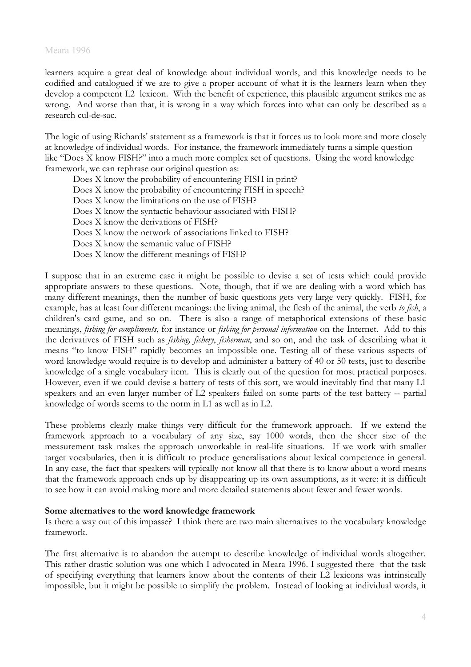learners acquire a great deal of knowledge about individual words, and this knowledge needs to be codified and catalogued if we are to give a proper account of what it is the learners learn when they develop a competent L2 lexicon. With the benefit of experience, this plausible argument strikes me as wrong. And worse than that, it is wrong in a way which forces into what can only be described as a research cul-de-sac.

The logic of using Richards' statement as a framework is that it forces us to look more and more closely at knowledge of individual words. For instance, the framework immediately turns a simple question like "Does X know FISH?" into a much more complex set of questions. Using the word knowledge framework, we can rephrase our original question as:

Does X know the probability of encountering FISH in print? Does X know the probability of encountering FISH in speech? Does X know the limitations on the use of FISH? Does X know the syntactic behaviour associated with FISH? Does X know the derivations of FISH? Does X know the network of associations linked to FISH? Does X know the semantic value of FISH? Does X know the different meanings of FISH?

I suppose that in an extreme case it might be possible to devise a set of tests which could provide appropriate answers to these questions. Note, though, that if we are dealing with a word which has many different meanings, then the number of basic questions gets very large very quickly. FISH, for example, has at least four different meanings: the living animal, the flesh of the animal, the verb *to fish*, a children's card game, and so on. There is also a range of metaphorical extensions of these basic meanings, *fishing for compliments*, for instance or *fishing for personal information* on the Internet. Add to this the derivatives of FISH such as *fishing, fishery*, *fisherman*, and so on, and the task of describing what it means "to know FISH" rapidly becomes an impossible one. Testing all of these various aspects of word knowledge would require is to develop and administer a battery of 40 or 50 tests, just to describe knowledge of a single vocabulary item. This is clearly out of the question for most practical purposes. However, even if we could devise a battery of tests of this sort, we would inevitably find that many L1 speakers and an even larger number of L2 speakers failed on some parts of the test battery -- partial knowledge of words seems to the norm in L1 as well as in L2.

These problems clearly make things very difficult for the framework approach. If we extend the framework approach to a vocabulary of any size, say 1000 words, then the sheer size of the measurement task makes the approach unworkable in real-life situations. If we work with smaller target vocabularies, then it is difficult to produce generalisations about lexical competence in general. In any case, the fact that speakers will typically not know all that there is to know about a word means that the framework approach ends up by disappearing up its own assumptions, as it were: it is difficult to see how it can avoid making more and more detailed statements about fewer and fewer words.

## **Some alternatives to the word knowledge framework**

Is there a way out of this impasse? I think there are two main alternatives to the vocabulary knowledge framework.

The first alternative is to abandon the attempt to describe knowledge of individual words altogether. This rather drastic solution was one which I advocated in Meara 1996. I suggested there that the task of specifying everything that learners know about the contents of their L2 lexicons was intrinsically impossible, but it might be possible to simplify the problem. Instead of looking at individual words, it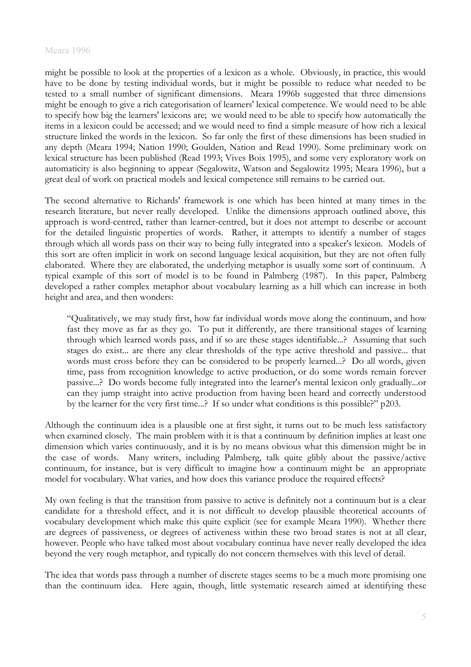might be possible to look at the properties of a lexicon as a whole. Obviously, in practice, this would have to be done by testing individual words, but it might be possible to reduce what needed to be tested to a small number of significant dimensions. Meara 1996b suggested that three dimensions might be enough to give a rich categorisation of learners' lexical competence. We would need to be able to specify how big the learners' lexicons are; we would need to be able to specify how automatically the items in a lexicon could be accessed; and we would need to find a simple measure of how rich a lexical structure linked the words in the lexicon. So far only the first of these dimensions has been studied in any depth (Meara 1994; Nation 1990; Goulden, Nation and Read 1990). Some preliminary work on lexical structure has been published (Read 1993; Vives Boix 1995), and some very exploratory work on automaticity is also beginning to appear (Segalowitz, Watson and Segalowitz 1995; Meara 1996), but a great deal of work on practical models and lexical competence still remains to be carried out.

The second alternative to Richards' framework is one which has been hinted at many times in the research literature, but never really developed. Unlike the dimensions approach outlined above, this approach is word-centred, rather than learner-centred, but it does not attempt to describe or account for the detailed linguistic properties of words. Rather, it attempts to identify a number of stages through which all words pass on their way to being fully integrated into a speaker's lexicon. Models of this sort are often implicit in work on second language lexical acquisition, but they are not often fully elaborated. Where they are elaborated, the underlying metaphor is usually some sort of continuum. A typical example of this sort of model is to be found in Palmberg (1987). In this paper, Palmberg developed a rather complex metaphor about vocabulary learning as a hill which can increase in both height and area, and then wonders:

"Qualitatively, we may study first, how far individual words move along the continuum, and how fast they move as far as they go. To put it differently, are there transitional stages of learning through which learned words pass, and if so are these stages identifiable...? Assuming that such stages do exist... are there any clear thresholds of the type active threshold and passive... that words must cross before they can be considered to be properly learned...? Do all words, given time, pass from recognition knowledge to active production, or do some words remain forever passive...? Do words become fully integrated into the learner's mental lexicon only gradually...or can they jump straight into active production from having been heard and correctly understood by the learner for the very first time...? If so under what conditions is this possible?" p203.

Although the continuum idea is a plausible one at first sight, it turns out to be much less satisfactory when examined closely. The main problem with it is that a continuum by definition implies at least one dimension which varies continuously, and it is by no means obvious what this dimension might be in the case of words. Many writers, including Palmberg, talk quite glibly about the passive/active continuum, for instance, but is very difficult to imagine how a continuum might be an appropriate model for vocabulary. What varies, and how does this variance produce the required effects?

My own feeling is that the transition from passive to active is definitely not a continuum but is a clear candidate for a threshold effect, and it is not difficult to develop plausible theoretical accounts of vocabulary development which make this quite explicit (see for example Meara 1990). Whether there are degrees of passiveness, or degrees of activeness within these two broad states is not at all clear, however. People who have talked most about vocabulary continua have never really developed the idea beyond the very rough metaphor, and typically do not concern themselves with this level of detail.

The idea that words pass through a number of discrete stages seems to be a much more promising one than the continuum idea. Here again, though, little systematic research aimed at identifying these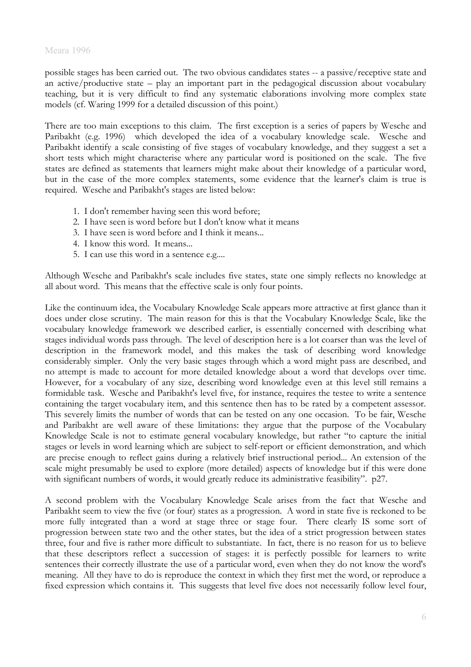possible stages has been carried out. The two obvious candidates states -- a passive/receptive state and an active/productive state – play an important part in the pedagogical discussion about vocabulary teaching, but it is very difficult to find any systematic elaborations involving more complex state models (cf. Waring 1999 for a detailed discussion of this point.)

There are too main exceptions to this claim. The first exception is a series of papers by Wesche and Paribakht (e.g. 1996) which developed the idea of a vocabulary knowledge scale. Wesche and Paribakht identify a scale consisting of five stages of vocabulary knowledge, and they suggest a set a short tests which might characterise where any particular word is positioned on the scale. The five states are defined as statements that learners might make about their knowledge of a particular word, but in the case of the more complex statements, some evidence that the learner's claim is true is required. Wesche and Paribakht's stages are listed below:

- 1. I don't remember having seen this word before;
- 2. I have seen is word before but I don't know what it means
- 3. I have seen is word before and I think it means...
- 4. I know this word. It means...
- 5. I can use this word in a sentence e.g....

Although Wesche and Paribakht's scale includes five states, state one simply reflects no knowledge at all about word. This means that the effective scale is only four points.

Like the continuum idea, the Vocabulary Knowledge Scale appears more attractive at first glance than it does under close scrutiny. The main reason for this is that the Vocabulary Knowledge Scale, like the vocabulary knowledge framework we described earlier, is essentially concerned with describing what stages individual words pass through. The level of description here is a lot coarser than was the level of description in the framework model, and this makes the task of describing word knowledge considerably simpler. Only the very basic stages through which a word might pass are described, and no attempt is made to account for more detailed knowledge about a word that develops over time. However, for a vocabulary of any size, describing word knowledge even at this level still remains a formidable task. Wesche and Paribakht's level five, for instance, requires the testee to write a sentence containing the target vocabulary item, and this sentence then has to be rated by a competent assessor. This severely limits the number of words that can be tested on any one occasion. To be fair, Wesche and Paribakht are well aware of these limitations: they argue that the purpose of the Vocabulary Knowledge Scale is not to estimate general vocabulary knowledge, but rather "to capture the initial stages or levels in word learning which are subject to self-report or efficient demonstration, and which are precise enough to reflect gains during a relatively brief instructional period... An extension of the scale might presumably be used to explore (more detailed) aspects of knowledge but if this were done with significant numbers of words, it would greatly reduce its administrative feasibility". p27.

A second problem with the Vocabulary Knowledge Scale arises from the fact that Wesche and Paribakht seem to view the five (or four) states as a progression. A word in state five is reckoned to be more fully integrated than a word at stage three or stage four. There clearly IS some sort of progression between state two and the other states, but the idea of a strict progression between states three, four and five is rather more difficult to substantiate. In fact, there is no reason for us to believe that these descriptors reflect a succession of stages: it is perfectly possible for learners to write sentences their correctly illustrate the use of a particular word, even when they do not know the word's meaning. All they have to do is reproduce the context in which they first met the word, or reproduce a fixed expression which contains it. This suggests that level five does not necessarily follow level four,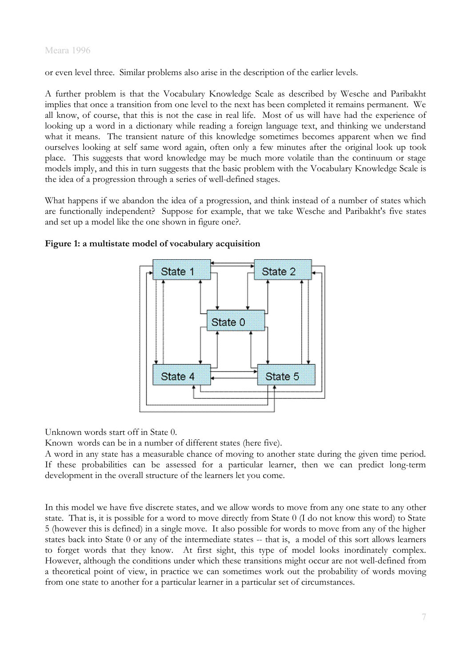or even level three. Similar problems also arise in the description of the earlier levels.

A further problem is that the Vocabulary Knowledge Scale as described by Wesche and Paribakht implies that once a transition from one level to the next has been completed it remains permanent. We all know, of course, that this is not the case in real life. Most of us will have had the experience of looking up a word in a dictionary while reading a foreign language text, and thinking we understand what it means. The transient nature of this knowledge sometimes becomes apparent when we find ourselves looking at self same word again, often only a few minutes after the original look up took place. This suggests that word knowledge may be much more volatile than the continuum or stage models imply, and this in turn suggests that the basic problem with the Vocabulary Knowledge Scale is the idea of a progression through a series of well-defined stages.

What happens if we abandon the idea of a progression, and think instead of a number of states which are functionally independent? Suppose for example, that we take Wesche and Paribakht's five states and set up a model like the one shown in figure one?.



## **Figure 1: a multistate model of vocabulary acquisition**

Unknown words start off in State 0.

Known words can be in a number of different states (here five).

A word in any state has a measurable chance of moving to another state during the given time period. If these probabilities can be assessed for a particular learner, then we can predict long-term development in the overall structure of the learners let you come.

In this model we have five discrete states, and we allow words to move from any one state to any other state. That is, it is possible for a word to move directly from State 0 (I do not know this word) to State 5 (however this is defined) in a single move. It also possible for words to move from any of the higher states back into State 0 or any of the intermediate states -- that is, a model of this sort allows learners to forget words that they know. At first sight, this type of model looks inordinately complex. However, although the conditions under which these transitions might occur are not well-defined from a theoretical point of view, in practice we can sometimes work out the probability of words moving from one state to another for a particular learner in a particular set of circumstances.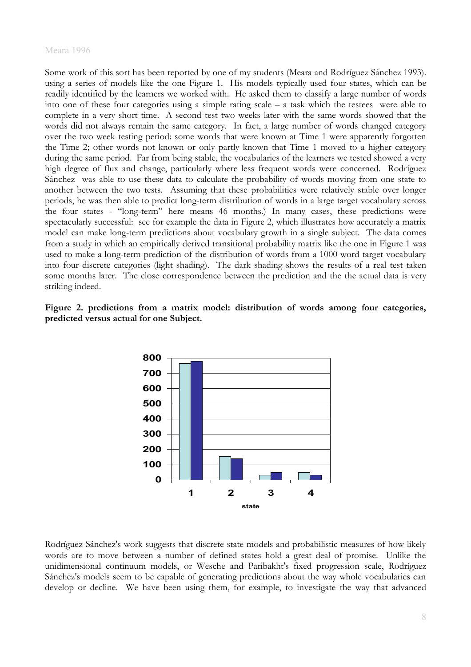Some work of this sort has been reported by one of my students (Meara and Rodríguez Sánchez 1993). using a series of models like the one Figure 1. His models typically used four states, which can be readily identified by the learners we worked with. He asked them to classify a large number of words into one of these four categories using a simple rating scale – a task which the testees were able to complete in a very short time. A second test two weeks later with the same words showed that the words did not always remain the same category. In fact, a large number of words changed category over the two week testing period: some words that were known at Time 1 were apparently forgotten the Time 2; other words not known or only partly known that Time 1 moved to a higher category during the same period. Far from being stable, the vocabularies of the learners we tested showed a very high degree of flux and change, particularly where less frequent words were concerned. Rodríguez Sánchez was able to use these data to calculate the probability of words moving from one state to another between the two tests. Assuming that these probabilities were relatively stable over longer periods, he was then able to predict long-term distribution of words in a large target vocabulary across the four states - "long-term" here means 46 months.) In many cases, these predictions were spectacularly successful: see for example the data in Figure 2, which illustrates how accurately a matrix model can make long-term predictions about vocabulary growth in a single subject. The data comes from a study in which an empirically derived transitional probability matrix like the one in Figure 1 was used to make a long-term prediction of the distribution of words from a 1000 word target vocabulary into four discrete categories (light shading). The dark shading shows the results of a real test taken some months later. The close correspondence between the prediction and the the actual data is very striking indeed.





Rodríguez Sánchez's work suggests that discrete state models and probabilistic measures of how likely words are to move between a number of defined states hold a great deal of promise. Unlike the unidimensional continuum models, or Wesche and Paribakht's fixed progression scale, Rodríguez Sánchez's models seem to be capable of generating predictions about the way whole vocabularies can develop or decline. We have been using them, for example, to investigate the way that advanced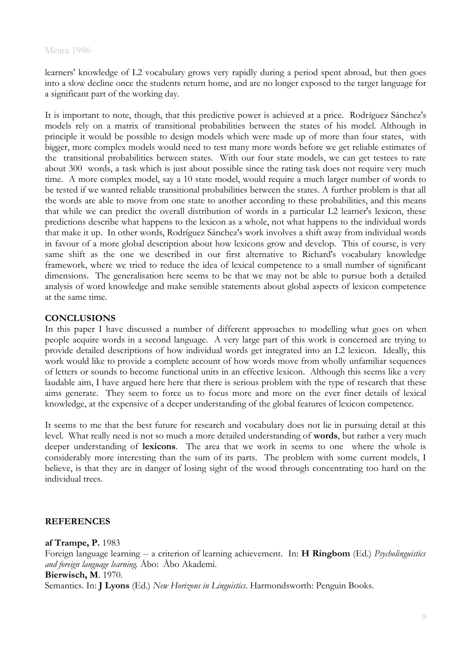learners' knowledge of L2 vocabulary grows very rapidly during a period spent abroad, but then goes into a slow decline once the students return home, and are no longer exposed to the target language for a significant part of the working day.

It is important to note, though, that this predictive power is achieved at a price. Rodríguez Sánchez's models rely on a matrix of transitional probabilities between the states of his model. Although in principle it would be possible to design models which were made up of more than four states, with bigger, more complex models would need to test many more words before we get reliable estimates of the transitional probabilities between states. With our four state models, we can get testees to rate about 300 words, a task which is just about possible since the rating task does not require very much time. A more complex model, say a 10 state model, would require a much larger number of words to be tested if we wanted reliable transitional probabilities between the states. A further problem is that all the words are able to move from one state to another according to these probabilities, and this means that while we can predict the overall distribution of words in a particular L2 learner's lexicon, these predictions describe what happens to the lexicon as a whole, not what happens to the individual words that make it up. In other words, Rodríguez Sánchez's work involves a shift away from individual words in favour of a more global description about how lexicons grow and develop. This of course, is very same shift as the one we described in our first alternative to Richard's vocabulary knowledge framework, where we tried to reduce the idea of lexical competence to a small number of significant dimensions. The generalisation here seems to be that we may not be able to pursue both a detailed analysis of word knowledge and make sensible statements about global aspects of lexicon competence at the same time.

# **CONCLUSIONS**

In this paper I have discussed a number of different approaches to modelling what goes on when people acquire words in a second language. A very large part of this work is concerned are trying to provide detailed descriptions of how individual words get integrated into an L2 lexicon. Ideally, this work would like to provide a complete account of how words move from wholly unfamiliar sequences of letters or sounds to become functional units in an effective lexicon. Although this seems like a very laudable aim, I have argued here here that there is serious problem with the type of research that these aims generate. They seem to force us to focus more and more on the ever finer details of lexical knowledge, at the expensive of a deeper understanding of the global features of lexicon competence.

It seems to me that the best future for research and vocabulary does not lie in pursuing detail at this level. What really need is not so much a more detailed understanding of **words**, but rather a very much deeper understanding of **lexicons**. The area that we work in seems to one where the whole is considerably more interesting than the sum of its parts. The problem with some current models, I believe, is that they are in danger of losing sight of the wood through concentrating too hard on the individual trees.

## **REFERENCES**

**af Trampe, P.** 1983 Foreign language learning -- a criterion of learning achievement. In: **H Ringbom** (Ed.) *Psycholinguistics and foreign language learning.* Åbo: Åbo Akademi. **Bierwisch, M**. 1970. Semantics. In: **J Lyons** (Ed.) *New Horizons in Linguistics*. Harmondsworth: Penguin Books.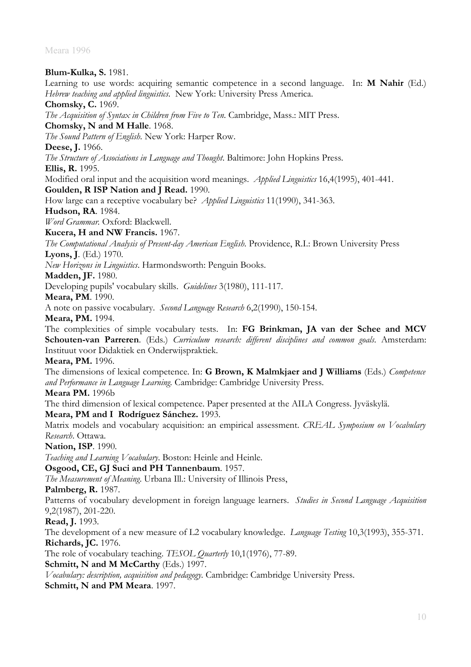**Blum-Kulka, S.** 1981. Learning to use words: acquiring semantic competence in a second language. In: **M Nahir** (Ed.) *Hebrew teaching and applied linguistics*. New York: University Press America. **Chomsky, C.** 1969. *The Acquisition of Syntax in Children from Five to Ten*. Cambridge, Mass.: MIT Press. **Chomsky, N and M Halle**. 1968. *The Sound Pattern of English*. New York: Harper Row. **Deese, J.** 1966. *The Structure of Associations in Language and Thought*. Baltimore: John Hopkins Press. **Ellis, R.** 1995. Modified oral input and the acquisition word meanings. *Applied Linguistics* 16,4(1995), 401-441. **Goulden, R ISP Nation and J Read.** 1990. How large can a receptive vocabulary be? *Applied Linguistics* 11(1990), 341-363. **Hudson, RA**. 1984. *Word Grammar.* Oxford: Blackwell. **Kucera, H and NW Francis.** 1967. *The Computational Analysis of Present-day American English*. Providence, R.I.: Brown University Press **Lyons, J**. (Ed.) 1970. *New Horizons in Linguistics*. Harmondsworth: Penguin Books. **Madden, JF.** 1980. Developing pupils' vocabulary skills. *Guidelines* 3(1980), 111-117. **Meara, PM**. 1990. A note on passive vocabulary. *Second Language Research* 6,2(1990), 150-154. **Meara, PM.** 1994. The complexities of simple vocabulary tests. In: **FG Brinkman, JA van der Schee and MCV Schouten-van Parreren**. (Eds.) *Curriculum research: different disciplines and common goals*. Amsterdam: Instituut voor Didaktiek en Onderwijspraktiek. **Meara, PM.** 1996. The dimensions of lexical competence. In: **G Brown, K Malmkjaer and J Williams** (Eds.) *Competence and Performance in Language Learning.* Cambridge: Cambridge University Press. **Meara PM.** 1996b The third dimension of lexical competence. Paper presented at the AILA Congress. Jyväskylä. **Meara, PM and I Rodríguez Sánchez.** 1993. Matrix models and vocabulary acquisition: an empirical assessment. *CREAL Symposium on Vocabulary Research*. Ottawa. **Nation, ISP**. 1990. *Teaching and Learning Vocabulary*. Boston: Heinle and Heinle. **Osgood, CE, GJ Suci and PH Tannenbaum**. 1957. *The Measurement of Meaning*. Urbana Ill.: University of Illinois Press, **Palmberg, R.** 1987. Patterns of vocabulary development in foreign language learners. *Studies in Second Language Acquisition* 9,2(1987), 201-220. **Read, J.** 1993. The development of a new measure of L2 vocabulary knowledge. *Language Testing* 10,3(1993), 355-371. **Richards, JC.** 1976. The role of vocabulary teaching. *TESOL Quarterly* 10,1(1976), 77-89. **Schmitt, N and M McCarthy** (Eds.) 1997. *Vocabulary: description, acquisition and pedagogy*. Cambridge: Cambridge University Press. Schmitt, N and PM Meara. 1997.